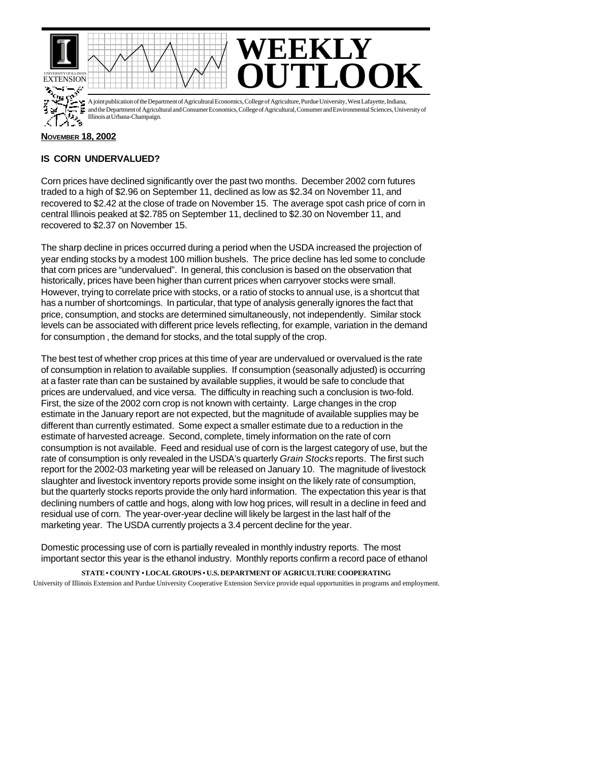

## **NOVEMBER 18, 2002**

## **IS CORN UNDERVALUED?**

Corn prices have declined significantly over the past two months. December 2002 corn futures traded to a high of \$2.96 on September 11, declined as low as \$2.34 on November 11, and recovered to \$2.42 at the close of trade on November 15. The average spot cash price of corn in central Illinois peaked at \$2.785 on September 11, declined to \$2.30 on November 11, and recovered to \$2.37 on November 15.

The sharp decline in prices occurred during a period when the USDA increased the projection of year ending stocks by a modest 100 million bushels. The price decline has led some to conclude that corn prices are "undervalued". In general, this conclusion is based on the observation that historically, prices have been higher than current prices when carryover stocks were small. However, trying to correlate price with stocks, or a ratio of stocks to annual use, is a shortcut that has a number of shortcomings. In particular, that type of analysis generally ignores the fact that price, consumption, and stocks are determined simultaneously, not independently. Similar stock levels can be associated with different price levels reflecting, for example, variation in the demand for consumption , the demand for stocks, and the total supply of the crop.

The best test of whether crop prices at this time of year are undervalued or overvalued is the rate of consumption in relation to available supplies. If consumption (seasonally adjusted) is occurring at a faster rate than can be sustained by available supplies, it would be safe to conclude that prices are undervalued, and vice versa. The difficulty in reaching such a conclusion is two-fold. First, the size of the 2002 corn crop is not known with certainty. Large changes in the crop estimate in the January report are not expected, but the magnitude of available supplies may be different than currently estimated. Some expect a smaller estimate due to a reduction in the estimate of harvested acreage. Second, complete, timely information on the rate of corn consumption is not available. Feed and residual use of corn is the largest category of use, but the rate of consumption is only revealed in the USDA's quarterly *Grain Stocks* reports. The first such report for the 2002-03 marketing year will be released on January 10. The magnitude of livestock slaughter and livestock inventory reports provide some insight on the likely rate of consumption, but the quarterly stocks reports provide the only hard information. The expectation this year is that declining numbers of cattle and hogs, along with low hog prices, will result in a decline in feed and residual use of corn. The year-over-year decline will likely be largest in the last half of the marketing year. The USDA currently projects a 3.4 percent decline for the year.

Domestic processing use of corn is partially revealed in monthly industry reports. The most important sector this year is the ethanol industry. Monthly reports confirm a record pace of ethanol

**STATE • COUNTY • LOCAL GROUPS • U.S. DEPARTMENT OF AGRICULTURE COOPERATING** University of Illinois Extension and Purdue University Cooperative Extension Service provide equal opportunities in programs and employment.